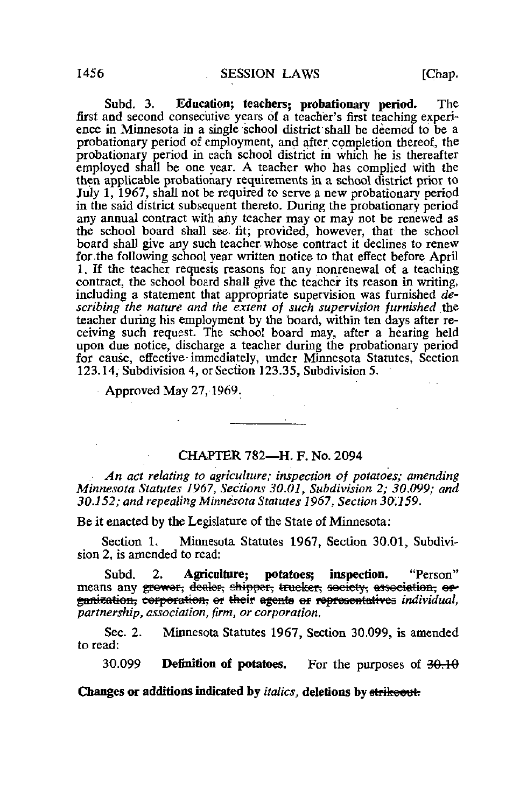Subd. 3. Education; teachers; probationary period. The first and second consecutive years of a teacher's first teaching experience in Minnesota in a single school district shall be deemed to be a probationary period of employment, and after completion thereof, the probationary period in each school district in which he is thereafter employed shall be one year. A teacher who has complied with the then applicable probationary requirements in a school district prior to July 1, 1967, shall not be required to serve a new probationary period in the said district subsequent thereto. During the probationary period any annual contract with any teacher may or may not be renewed as the school board shall see. fit; provided, however, that the school board shall give any such teacher whose contract it declines to renew for-the following school year written notice to that effect before April 1. If the teacher requests reasons for any nonrenewal of a teaching contract, the school board shall give the teacher its reason in writing, including a statement that appropriate supervision was furnished  $de$ scribing the nature and the extent of such supervision furnished the teacher during his employment by the board, within ten days after receiving such request. The school board may, after a hearing held upon due notice, discharge a teacher during the probationary period for cause, effective-immediately, under Minnesota Statutes, Section 123.14, Subdivisioa 4, or Section 123.35, Subdivision 5.

Approved May 27,1969.

## CHAPTER 782—H. F. No. 2094

 $\frac{1}{2} \left( \frac{1}{2} \right)^2 \left( \frac{1}{2} \right)^2 \left( \frac{1}{2} \right)^2 \left( \frac{1}{2} \right)^2$ 

An act relating to agriculture; inspection of potatoes; amending Minnesota Statutes 1967, Sections 30.01, Subdivision 2; 30.099; and 30.152; and repealing Minnesota Statutes 1967, Section 30.159.

Be it enacted by the Legislature of the State of Minnesota:

Section 1. Minnesota Statutes 1967, Section 30.01, Subdivision 2, is amended to read:

Subd. 2. Agriculture: potatoes: inspection. "Person" means any grower, dealer, shipper, trucker, society, association, or ganization, corporation, or their egents or representatives individual, partnership, association, firm, or corporation,

Sec. 2. Minnesota Statutes 1967, Section 30.099, is amended to read:

30.099 Definition of potatoes. For the purposes of  $\frac{30.10}{9.10}$ 

Changes or additions indicated by *italics*, deletions by strikeout.